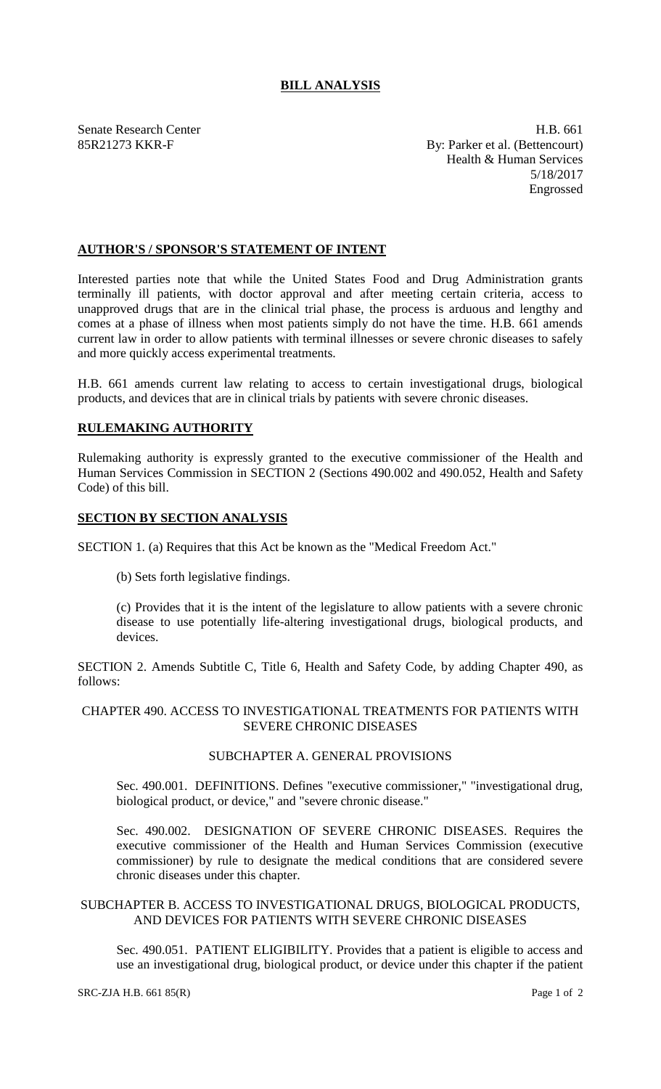# **BILL ANALYSIS**

Senate Research Center **H.B.** 661 85R21273 KKR-F By: Parker et al. (Bettencourt) Health & Human Services 5/18/2017 Engrossed

### **AUTHOR'S / SPONSOR'S STATEMENT OF INTENT**

Interested parties note that while the United States Food and Drug Administration grants terminally ill patients, with doctor approval and after meeting certain criteria, access to unapproved drugs that are in the clinical trial phase, the process is arduous and lengthy and comes at a phase of illness when most patients simply do not have the time. H.B. 661 amends current law in order to allow patients with terminal illnesses or severe chronic diseases to safely and more quickly access experimental treatments.

H.B. 661 amends current law relating to access to certain investigational drugs, biological products, and devices that are in clinical trials by patients with severe chronic diseases.

### **RULEMAKING AUTHORITY**

Rulemaking authority is expressly granted to the executive commissioner of the Health and Human Services Commission in SECTION 2 (Sections 490.002 and 490.052, Health and Safety Code) of this bill.

# **SECTION BY SECTION ANALYSIS**

SECTION 1. (a) Requires that this Act be known as the "Medical Freedom Act."

(b) Sets forth legislative findings.

(c) Provides that it is the intent of the legislature to allow patients with a severe chronic disease to use potentially life-altering investigational drugs, biological products, and devices.

SECTION 2. Amends Subtitle C, Title 6, Health and Safety Code, by adding Chapter 490, as follows:

#### CHAPTER 490. ACCESS TO INVESTIGATIONAL TREATMENTS FOR PATIENTS WITH SEVERE CHRONIC DISEASES

# SUBCHAPTER A. GENERAL PROVISIONS

Sec. 490.001. DEFINITIONS. Defines "executive commissioner," "investigational drug, biological product, or device," and "severe chronic disease."

Sec. 490.002. DESIGNATION OF SEVERE CHRONIC DISEASES. Requires the executive commissioner of the Health and Human Services Commission (executive commissioner) by rule to designate the medical conditions that are considered severe chronic diseases under this chapter.

#### SUBCHAPTER B. ACCESS TO INVESTIGATIONAL DRUGS, BIOLOGICAL PRODUCTS, AND DEVICES FOR PATIENTS WITH SEVERE CHRONIC DISEASES

Sec. 490.051. PATIENT ELIGIBILITY. Provides that a patient is eligible to access and use an investigational drug, biological product, or device under this chapter if the patient